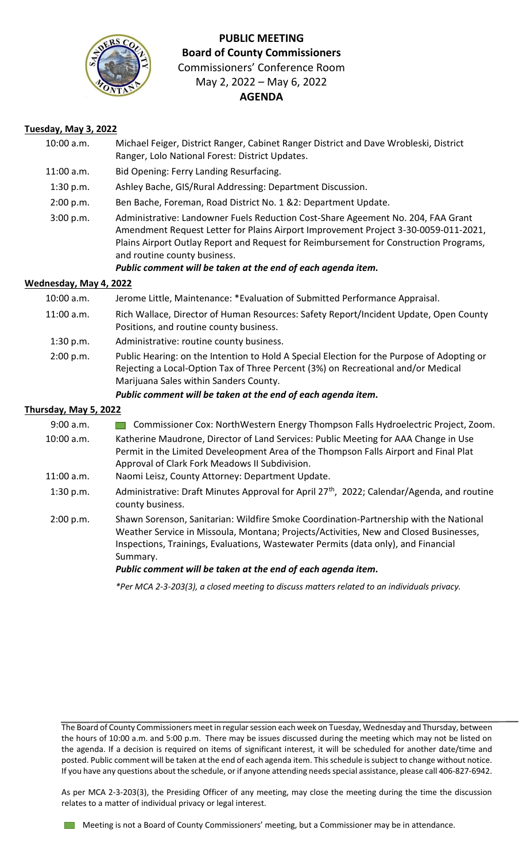

# **PUBLIC MEETING Board of County Commissioners** Commissioners' Conference Room May 2, 2022 – May 6, 2022

### **AGENDA**

#### **Tuesday, May 3, 2022**

| 10:00 a.m.             | Michael Feiger, District Ranger, Cabinet Ranger District and Dave Wrobleski, District<br>Ranger, Lolo National Forest: District Updates.                                                                                                                                                                                                                         |
|------------------------|------------------------------------------------------------------------------------------------------------------------------------------------------------------------------------------------------------------------------------------------------------------------------------------------------------------------------------------------------------------|
| $11:00$ a.m.           | Bid Opening: Ferry Landing Resurfacing.                                                                                                                                                                                                                                                                                                                          |
| 1:30 p.m.              | Ashley Bache, GIS/Rural Addressing: Department Discussion.                                                                                                                                                                                                                                                                                                       |
| 2:00 p.m.              | Ben Bache, Foreman, Road District No. 1 &2: Department Update.                                                                                                                                                                                                                                                                                                   |
| 3:00 p.m.              | Administrative: Landowner Fuels Reduction Cost-Share Ageement No. 204, FAA Grant<br>Amendment Request Letter for Plains Airport Improvement Project 3-30-0059-011-2021,<br>Plains Airport Outlay Report and Request for Reimbursement for Construction Programs,<br>and routine county business.<br>Public comment will be taken at the end of each agenda item. |
| Wednesday, May 4, 2022 |                                                                                                                                                                                                                                                                                                                                                                  |
| 10:00 a.m.             | Jerome Little, Maintenance: *Evaluation of Submitted Performance Appraisal.                                                                                                                                                                                                                                                                                      |
| 11:00 a.m.             | Rich Wallace, Director of Human Resources: Safety Report/Incident Update, Open County<br>Positions, and routine county business.                                                                                                                                                                                                                                 |
| 1:30 p.m.              | Administrative: routine county business.                                                                                                                                                                                                                                                                                                                         |
| 2:00 p.m.              | Public Hearing: on the Intention to Hold A Special Election for the Purpose of Adopting or<br>Rejecting a Local-Option Tax of Three Percent (3%) on Recreational and/or Medical<br>Marijuana Sales within Sanders County.                                                                                                                                        |
|                        | Public comment will be taken at the end of each agenda item.                                                                                                                                                                                                                                                                                                     |
| Thursday, May 5, 2022  |                                                                                                                                                                                                                                                                                                                                                                  |
| 9:00 a.m.              | Commissioner Cox: NorthWestern Energy Thompson Falls Hydroelectric Project, Zoom.                                                                                                                                                                                                                                                                                |
| 10:00 a.m.             | Katherine Maudrone, Director of Land Services: Public Meeting for AAA Change in Use<br>Permit in the Limited Develeopment Area of the Thompson Falls Airport and Final Plat<br>Approval of Clark Fork Meadows II Subdivision.                                                                                                                                    |
| 11:00 a.m.             | Naomi Leisz, County Attorney: Department Update.                                                                                                                                                                                                                                                                                                                 |
| 1:30 p.m.              | Administrative: Draft Minutes Approval for April 27 <sup>th</sup> , 2022; Calendar/Agenda, and routine<br>county business.                                                                                                                                                                                                                                       |
| 2:00 p.m.              | Shawn Sorenson, Sanitarian: Wildfire Smoke Coordination-Partnership with the National<br>Weather Service in Missoula, Montana; Projects/Activities, New and Closed Businesses,<br>Inspections, Trainings, Evaluations, Wastewater Permits (data only), and Financial<br>Summary.<br>Public comment will be taken at the end of each agenda item.                 |
|                        | *Per MCA 2-3-203(3), a closed meeting to discuss matters related to an individuals privacy.                                                                                                                                                                                                                                                                      |
|                        |                                                                                                                                                                                                                                                                                                                                                                  |

The Board of County Commissioners meet in regular session each week on Tuesday, Wednesday and Thursday, between the hours of 10:00 a.m. and 5:00 p.m. There may be issues discussed during the meeting which may not be listed on the agenda. If a decision is required on items of significant interest, it will be scheduled for another date/time and posted. Public comment will be taken at the end of each agenda item. This schedule is subject to change without notice. If you have any questions about the schedule, or if anyone attending needs special assistance, please call 406-827-6942.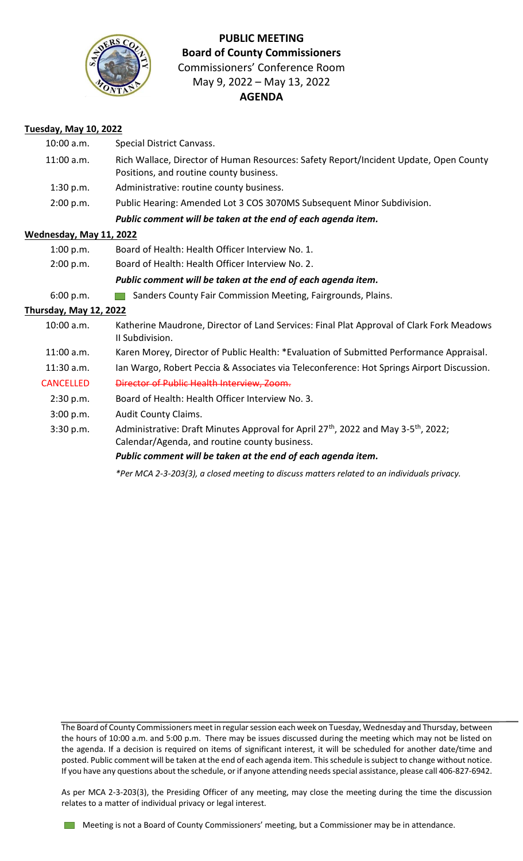

# **PUBLIC MEETING Board of County Commissioners** Commissioners' Conference Room May 9, 2022 – May 13, 2022

### **AGENDA**

#### **Tuesday, May 10, 2022**

| 10:00 a.m.                    | Special District Canvass.                                                                                                                                   |
|-------------------------------|-------------------------------------------------------------------------------------------------------------------------------------------------------------|
| 11:00 a.m.                    | Rich Wallace, Director of Human Resources: Safety Report/Incident Update, Open County<br>Positions, and routine county business.                            |
| 1:30 p.m.                     | Administrative: routine county business.                                                                                                                    |
| 2:00 p.m.                     | Public Hearing: Amended Lot 3 COS 3070MS Subsequent Minor Subdivision.                                                                                      |
|                               | Public comment will be taken at the end of each agenda item.                                                                                                |
| Wednesday, May 11, 2022       |                                                                                                                                                             |
| 1:00 p.m.                     | Board of Health: Health Officer Interview No. 1.                                                                                                            |
| 2:00 p.m.                     | Board of Health: Health Officer Interview No. 2.                                                                                                            |
|                               | Public comment will be taken at the end of each agenda item.                                                                                                |
| 6:00 p.m.                     | Sanders County Fair Commission Meeting, Fairgrounds, Plains.                                                                                                |
| <b>Thursday, May 12, 2022</b> |                                                                                                                                                             |
| 10:00 a.m.                    | Katherine Maudrone, Director of Land Services: Final Plat Approval of Clark Fork Meadows<br>II Subdivision.                                                 |
| $11:00$ a.m.                  | Karen Morey, Director of Public Health: *Evaluation of Submitted Performance Appraisal.                                                                     |
| $11:30$ a.m.                  | Ian Wargo, Robert Peccia & Associates via Teleconference: Hot Springs Airport Discussion.                                                                   |
| <b>CANCELLED</b>              | Director of Public Health Interview, Zoom.                                                                                                                  |
| 2:30 p.m.                     | Board of Health: Health Officer Interview No. 3.                                                                                                            |
| 3:00 p.m.                     | <b>Audit County Claims.</b>                                                                                                                                 |
| 3:30 p.m.                     | Administrative: Draft Minutes Approval for April 27 <sup>th</sup> , 2022 and May 3-5 <sup>th</sup> , 2022;<br>Calendar/Agenda, and routine county business. |
|                               | Public comment will be taken at the end of each agenda item.                                                                                                |
|                               |                                                                                                                                                             |

*\*Per MCA 2-3-203(3), a closed meeting to discuss matters related to an individuals privacy.*

The Board of County Commissioners meet in regular session each week on Tuesday, Wednesday and Thursday, between the hours of 10:00 a.m. and 5:00 p.m. There may be issues discussed during the meeting which may not be listed on the agenda. If a decision is required on items of significant interest, it will be scheduled for another date/time and posted. Public comment will be taken at the end of each agenda item. This schedule is subject to change without notice. If you have any questions about the schedule, or if anyone attending needs special assistance, please call 406-827-6942.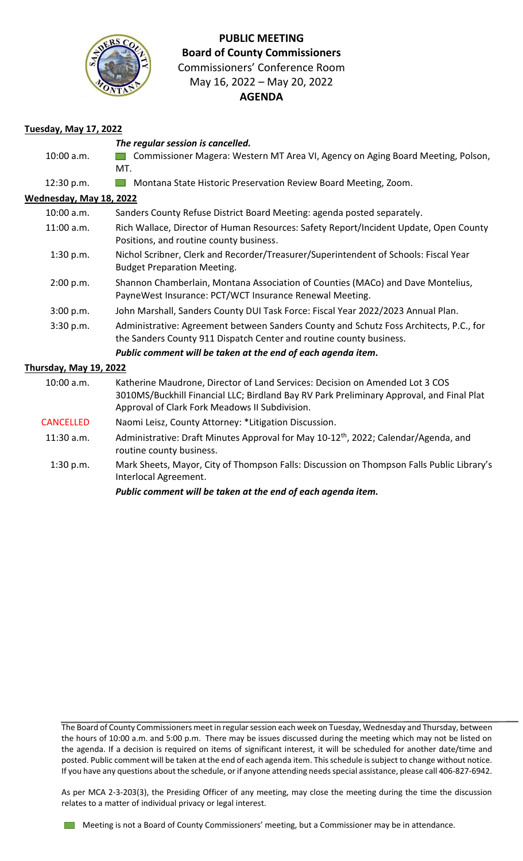

## **PUBLIC MEETING Board of County Commissioners** Commissioners' Conference Room May 16, 2022 – May 20, 2022

### **AGENDA**

#### **Tuesday, May 17, 2022**

|                                | The regular session is cancelled.                                                                                                                                                                                          |
|--------------------------------|----------------------------------------------------------------------------------------------------------------------------------------------------------------------------------------------------------------------------|
| 10:00 a.m.                     | Commissioner Magera: Western MT Area VI, Agency on Aging Board Meeting, Polson,                                                                                                                                            |
|                                | MT.                                                                                                                                                                                                                        |
| 12:30 p.m.                     | Montana State Historic Preservation Review Board Meeting, Zoom.                                                                                                                                                            |
| <u>Wednesday, May 18, 2022</u> |                                                                                                                                                                                                                            |
| 10:00 a.m.                     | Sanders County Refuse District Board Meeting: agenda posted separately.                                                                                                                                                    |
| 11:00 a.m.                     | Rich Wallace, Director of Human Resources: Safety Report/Incident Update, Open County<br>Positions, and routine county business.                                                                                           |
| 1:30 p.m.                      | Nichol Scribner, Clerk and Recorder/Treasurer/Superintendent of Schools: Fiscal Year<br><b>Budget Preparation Meeting.</b>                                                                                                 |
| 2:00 p.m.                      | Shannon Chamberlain, Montana Association of Counties (MACo) and Dave Montelius,<br>PayneWest Insurance: PCT/WCT Insurance Renewal Meeting.                                                                                 |
| 3:00 p.m.                      | John Marshall, Sanders County DUI Task Force: Fiscal Year 2022/2023 Annual Plan.                                                                                                                                           |
| 3:30 p.m.                      | Administrative: Agreement between Sanders County and Schutz Foss Architects, P.C., for<br>the Sanders County 911 Dispatch Center and routine county business.                                                              |
|                                | Public comment will be taken at the end of each agenda item.                                                                                                                                                               |
| <u>Thursday, May 19, 2022</u>  |                                                                                                                                                                                                                            |
| 10:00 a.m.                     | Katherine Maudrone, Director of Land Services: Decision on Amended Lot 3 COS<br>3010MS/Buckhill Financial LLC; Birdland Bay RV Park Preliminary Approval, and Final Plat<br>Approval of Clark Fork Meadows II Subdivision. |
| <b>CANCELLED</b>               | Naomi Leisz, County Attorney: *Litigation Discussion.                                                                                                                                                                      |
| 11:30 a.m.                     | Administrative: Draft Minutes Approval for May 10-12 <sup>th</sup> , 2022; Calendar/Agenda, and<br>routine county business.                                                                                                |
| 1:30 p.m.                      | Mark Sheets, Mayor, City of Thompson Falls: Discussion on Thompson Falls Public Library's<br>Interlocal Agreement.                                                                                                         |

*Public comment will be taken at the end of each agenda item.*

The Board of County Commissioners meet in regular session each week on Tuesday, Wednesday and Thursday, between the hours of 10:00 a.m. and 5:00 p.m. There may be issues discussed during the meeting which may not be listed on the agenda. If a decision is required on items of significant interest, it will be scheduled for another date/time and posted. Public comment will be taken at the end of each agenda item. This schedule is subject to change without notice. If you have any questions about the schedule, or if anyone attending needs special assistance, please call 406-827-6942.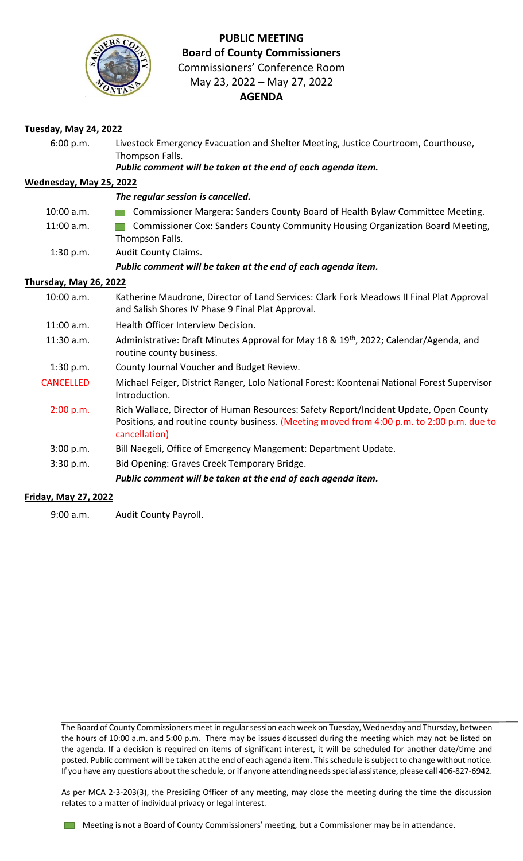

## **PUBLIC MEETING Board of County Commissioners** Commissioners' Conference Room

May 23, 2022 – May 27, 2022

## **AGENDA**

| <b>Tuesday, May 24, 2022</b> |                                                                                                                                                                                                     |  |
|------------------------------|-----------------------------------------------------------------------------------------------------------------------------------------------------------------------------------------------------|--|
| 6:00 p.m.                    | Livestock Emergency Evacuation and Shelter Meeting, Justice Courtroom, Courthouse,<br>Thompson Falls.<br>Public comment will be taken at the end of each agenda item.                               |  |
| Wednesday, May 25, 2022      |                                                                                                                                                                                                     |  |
|                              | The regular session is cancelled.                                                                                                                                                                   |  |
| 10:00 a.m.                   | Commissioner Margera: Sanders County Board of Health Bylaw Committee Meeting.                                                                                                                       |  |
| 11:00 a.m.                   | Commissioner Cox: Sanders County Community Housing Organization Board Meeting,<br>Thompson Falls.                                                                                                   |  |
| 1:30 p.m.                    | Audit County Claims.                                                                                                                                                                                |  |
|                              | Public comment will be taken at the end of each agenda item.                                                                                                                                        |  |
| Thursday, May 26, 2022       |                                                                                                                                                                                                     |  |
| 10:00 a.m.                   | Katherine Maudrone, Director of Land Services: Clark Fork Meadows II Final Plat Approval<br>and Salish Shores IV Phase 9 Final Plat Approval.                                                       |  |
| $11:00$ a.m.                 | Health Officer Interview Decision.                                                                                                                                                                  |  |
| 11:30 a.m.                   | Administrative: Draft Minutes Approval for May 18 & 19 <sup>th</sup> , 2022; Calendar/Agenda, and<br>routine county business.                                                                       |  |
| 1:30 p.m.                    | County Journal Voucher and Budget Review.                                                                                                                                                           |  |
| <b>CANCELLED</b>             | Michael Feiger, District Ranger, Lolo National Forest: Koontenai National Forest Supervisor<br>Introduction.                                                                                        |  |
| 2:00 p.m.                    | Rich Wallace, Director of Human Resources: Safety Report/Incident Update, Open County<br>Positions, and routine county business. (Meeting moved from 4:00 p.m. to 2:00 p.m. due to<br>cancellation) |  |
| 3:00 p.m.                    | Bill Naegeli, Office of Emergency Mangement: Department Update.                                                                                                                                     |  |
| 3:30 p.m.                    | Bid Opening: Graves Creek Temporary Bridge.                                                                                                                                                         |  |
|                              | Public comment will be taken at the end of each agenda item.                                                                                                                                        |  |

#### **Friday, May 27, 2022**

9:00 a.m. Audit County Payroll.

The Board of County Commissioners meet in regular session each week on Tuesday, Wednesday and Thursday, between the hours of 10:00 a.m. and 5:00 p.m. There may be issues discussed during the meeting which may not be listed on the agenda. If a decision is required on items of significant interest, it will be scheduled for another date/time and posted. Public comment will be taken at the end of each agenda item. This schedule is subject to change without notice. If you have any questions about the schedule, or if anyone attending needs special assistance, please call 406-827-6942.